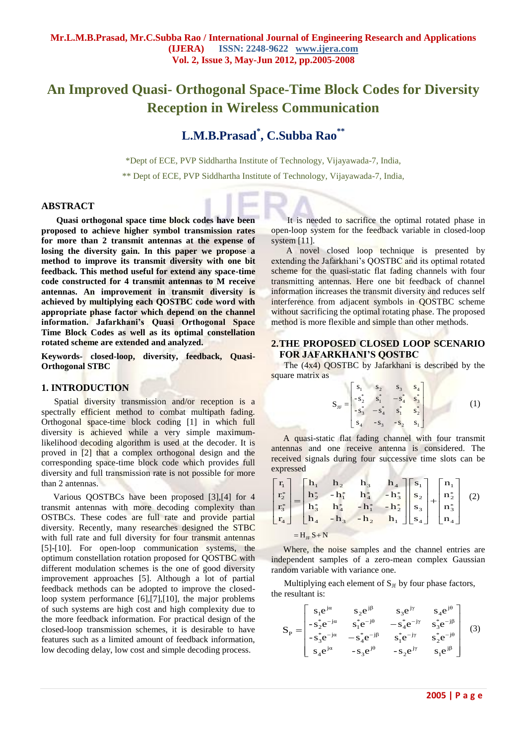# **An Improved Quasi- Orthogonal Space-Time Block Codes for Diversity Reception in Wireless Communication**

## **L.M.B.Prasad\* , C.Subba Rao\*\***

\*Dept of ECE, PVP Siddhartha Institute of Technology, Vijayawada-7, India,

\*\* Dept of ECE, PVP Siddhartha Institute of Technology, Vijayawada-7, India,

#### **ABSTRACT**

**Quasi orthogonal space time block codes have been proposed to achieve higher symbol transmission rates for more than 2 transmit antennas at the expense of losing the diversity gain. In this paper we propose a method to improve its transmit diversity with one bit feedback. This method useful for extend any space-time code constructed for 4 transmit antennas to M receive antennas. An improvement in transmit diversity is achieved by multiplying each QOSTBC code word with appropriate phase factor which depend on the channel information. Jafarkhani's Quasi Orthogonal Space Time Block Codes as well as its optimal constellation rotated scheme are extended and analyzed.** 

**Keywords- closed-loop, diversity, feedback, Quasi-Orthogonal STBC**

#### **1. INTRODUCTION**

Spatial diversity transmission and/or reception is a spectrally efficient method to combat multipath fading. Orthogonal space-time block coding [1] in which full diversity is achieved while a very simple maximumlikelihood decoding algorithm is used at the decoder. It is proved in [2] that a complex orthogonal design and the corresponding space-time block code which provides full diversity and full transmission rate is not possible for more than 2 antennas.

Various QOSTBCs have been proposed [3],[4] for 4 transmit antennas with more decoding complexity than OSTBCs. These codes are full rate and provide partial diversity. Recently, many researches designed the STBC with full rate and full diversity for four transmit antennas [5]-[10]. For open-loop communication systems, the optimum constellation rotation proposed for QOSTBC with different modulation schemes is the one of good diversity improvement approaches [5]. Although a lot of partial feedback methods can be adopted to improve the closedloop system performance [6],[7],[10], the major problems of such systems are high cost and high complexity due to the more feedback information. For practical design of the closed-loop transmission schemes, it is desirable to have features such as a limited amount of feedback information, low decoding delay, low cost and simple decoding process.

It is needed to sacrifice the optimal rotated phase in open-loop system for the feedback variable in closed-loop system [11].

A novel closed loop technique is presented by extending the Jafarkhani's QOSTBC and its optimal rotated scheme for the quasi-static flat fading channels with four transmitting antennas. Here one bit feedback of channel information increases the transmit diversity and reduces self interference from adjacent symbols in QOSTBC scheme without sacrificing the optimal rotating phase. The proposed method is more flexible and simple than other methods.

#### **2.THE PROPOSED CLOSED LOOP SCENARIO FOR JAFARKHANI'S QOSTBC**

The (4x4) QOSTBC by Jafarkhani is described by the square matrix as

$$
\mathbf{S}_{\text{JF}} = \begin{bmatrix} s_1 & s_2 & s_3 & s_4 \\ -s_2^* & s_1^* & -s_4^* & s_3^* \\ -s_3^* & -s_4^* & s_1^* & s_2^* \\ s_4 & -s_3 & -s_2 & s_1 \end{bmatrix}
$$
 (1)

A quasi-static flat fading channel with four transmit antennas and one receive antenna is considered. The received signals during four successive time slots can be expressed

|              |  |  |  |  | $\begin{bmatrix} \mathbf{r}_1 \\ \mathbf{r}_2^* \\ \mathbf{r}_3^* \\ \mathbf{r}_4 \end{bmatrix} = \begin{bmatrix} \mathbf{h}_1 & \mathbf{h}_2 & \mathbf{h}_3 & \mathbf{h}_4 \\ \mathbf{h}_2^* & -\mathbf{h}_1^* & \mathbf{h}_4^* & -\mathbf{h}_3^* \\ \mathbf{h}_3^* & \mathbf{h}_4^* & -\mathbf{h}_1^* & -\mathbf{h}_2^* \\ \mathbf{h}_4 & -\mathbf{h}_3 & -\mathbf{h}_2 & \mathbf{h}_1 \end{bmatrix} \begin{bmatrix} \mathbf{s}_$ |  |  |  |  |
|--------------|--|--|--|--|-------------------------------------------------------------------------------------------------------------------------------------------------------------------------------------------------------------------------------------------------------------------------------------------------------------------------------------------------------------------------------------------------------------------------------------|--|--|--|--|
|              |  |  |  |  |                                                                                                                                                                                                                                                                                                                                                                                                                                     |  |  |  |  |
|              |  |  |  |  |                                                                                                                                                                                                                                                                                                                                                                                                                                     |  |  |  |  |
|              |  |  |  |  |                                                                                                                                                                                                                                                                                                                                                                                                                                     |  |  |  |  |
| $=H_{IF}S+N$ |  |  |  |  |                                                                                                                                                                                                                                                                                                                                                                                                                                     |  |  |  |  |

Where, the noise samples and the channel entries are independent samples of a zero-mean complex Gaussian random variable with variance one.

Multiplying each element of  $S_{\text{Jf}}$  by four phase factors, the resultant is:

$$
S_{P} = \begin{bmatrix} s_{1}e^{j\alpha} & s_{2}e^{j\beta} & s_{3}e^{j\gamma} & s_{4}e^{j\theta} \\ -s_{2}^{*}e^{-j\alpha} & s_{1}^{*}e^{-j\theta} & -s_{4}^{*}e^{-j\gamma} & s_{3}^{*}e^{-j\beta} \\ -s_{3}^{*}e^{-j\alpha} & -s_{4}^{*}e^{-j\beta} & s_{1}^{*}e^{-j\gamma} & s_{2}^{*}e^{-j\theta} \\ s_{4}e^{j\alpha} & -s_{3}e^{j\theta} & -s_{2}e^{j\gamma} & s_{1}e^{j\beta} \end{bmatrix}
$$
(3)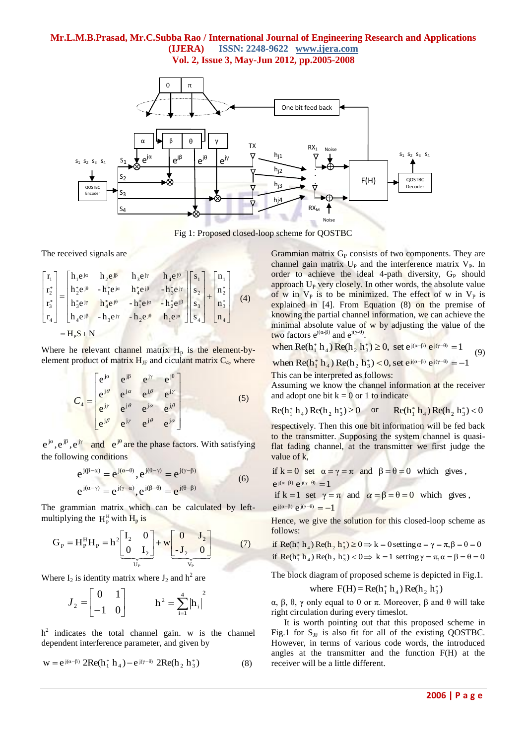#### **Mr.L.M.B.Prasad, Mr.C.Subba Rao / International Journal of Engineering Research and Applications (IJERA) ISSN: 2248-9622 www.ijera.com Vol. 2, Issue 3, May-Jun 2012, pp.2005-2008**



Fig 1: Proposed closed-loop scheme for QOSTBC

The received signals are

$$
\begin{bmatrix} r_1 \\ r_2^* \\ r_3^* \\ r_4 \end{bmatrix} = \begin{bmatrix} h_1 e^{j\alpha} & h_2 e^{j\beta} & h_3 e^{j\gamma} & h_4 e^{j\theta} \\ h_2^* e^{j\theta} & -h_1^* e^{j\alpha} & h_4^* e^{j\beta} & -h_3^* e^{j\gamma} \\ h_3^* e^{j\gamma} & h_4^* e^{j\theta} & -h_1^* e^{j\alpha} & -h_2^* e^{j\beta} \\ h_4 e^{j\beta} & -h_3 e^{j\gamma} & -h_2 e^{j\theta} & h_1 e^{j\alpha} \end{bmatrix} \begin{bmatrix} s_1 \\ s_2 \\ s_3 \\ s_4 \end{bmatrix} + \begin{bmatrix} n_1 \\ n_2^* \\ n_3^* \\ n_4 \end{bmatrix}
$$
 (4)  
=  $H_p S + N$ 

Where he relevant channel matrix  $H_p$  is the element-byelement product of matrix  $H_{JF}$  and ciculant matrix  $C_4$ , where

$$
C_4 = \begin{bmatrix} e^{j\alpha} & e^{j\beta} & e^{j\gamma} & e^{j\theta} \\ e^{j\theta} & e^{j\alpha} & e^{j\beta} & e^{j\gamma} \\ e^{j\gamma} & e^{j\theta} & e^{j\alpha} & e^{j\beta} \\ e^{j\beta} & e^{j\gamma} & e^{j\theta} & e^{j\alpha} \end{bmatrix}
$$
(5)

 $e^{j\alpha}, e^{j\beta}, e^{j\gamma}$  and  $e^{j\theta}$ and  $e^{j\theta}$  are the phase factors. With satisfying the following conditions

$$
e^{j(\beta-\alpha)} = e^{j(\alpha-\theta)}, e^{j(\theta-\gamma)} = e^{j(\gamma-\beta)}
$$
  
\n
$$
e^{j(\alpha-\gamma)} = e^{j(\gamma-\alpha)}, e^{j(\beta-\theta)} = e^{j(\theta-\beta)}
$$
\n(6)

The grammian matrix which can be calculated by leftmultiplying the  $H_P^H$  with  $H_p$  is

$$
G_{P} = H_{P}^{H}H_{P} = h^{2} \left[ \frac{I_{2}}{0} \frac{0}{I_{2}} \right] + w \left[ \frac{0}{-J_{2}} \frac{J_{2}}{0} \right]
$$
(7)

Where  $I_2$  is identity matrix where  $J_2$  and  $h^2$  are

$$
J_2 = \begin{bmatrix} 0 & 1 \\ -1 & 0 \end{bmatrix} \qquad \qquad h^2 = \sum_{i=1}^4 |h_i|^2
$$

 $h<sup>2</sup>$  indicates the total channel gain. w is the channel dependent interference parameter, and given by

$$
w = e^{j(\alpha - \beta)} 2Re(h_1^* h_4) - e^{j(\gamma - \theta)} 2Re(h_2 h_3^*)
$$
 (8)

Grammian matrix  $G<sub>P</sub>$  consists of two components. They are channel gain matrix  $U_P$  and the interference matrix  $V_P$ . In order to achieve the ideal 4-path diversity, G<sub>P</sub> should approach  $U_P$  very closely. In other words, the absolute value of w in  $V_P$  is to be minimized. The effect of w in  $V_P$  is explained in [4]. From Equation (8) on the premise of knowing the partial channel information, we can achieve the minimal absolute value of  $\bf{w}$  by adjusting the value of the **two factors e**<sup> $j(α-β)$ </sup> and e<sup> $j(γ-θ)$ </sup>.

two factors 
$$
e^{j(\alpha-p)}
$$
 and  $e^{j(\gamma-p)}$ .  
when Re(h<sub>1</sub><sup>\*</sup> h<sub>4</sub>) Re(h<sub>2</sub> h<sub>3</sub><sup>\*</sup>)  $\ge$  0, set  $e^{j(\alpha-\beta)} e^{j(\gamma-\theta)} = 1$  (9)

when Re(h<sub>1</sub> h<sub>4</sub>) Re(h<sub>2</sub> h<sub>3</sub>)  $\geq$  0, set e<sup>3(d+p</sup>) e<sup>3(t+p</sup>) = 1<br>when Re(h<sub>1</sub> h<sub>4</sub>) Re(h<sub>2</sub> h<sub>3</sub>)  $\leq$  0, set e<sup>3(α-β)</sup> e<sup>3(γ-θ)</sup> = -1

This can be interpreted as follows:

Assuming we know the channel information at the receiver and adopt one bit  $k = 0$  or 1 to indicate

Re(h<sub>1</sub><sup>\*</sup> h<sub>4</sub>) Re(h<sub>2</sub> h<sub>3</sub><sup>\*</sup>) 
$$
\ge 0
$$
 or Re(h<sub>1</sub><sup>\*</sup> h<sub>4</sub>) Re(h<sub>2</sub> h<sub>3</sub><sup>\*</sup>)  $< 0$ 

respectively. Then this one bit information will be fed back to the transmitter. Supposing the system channel is quasiflat fading channel, at the transmitter we first judge the value of k,

if k = 0 set  $\alpha = \gamma = \pi$  and  $\beta = \theta = 0$  which gives,  $e^{j(\alpha-\beta)} e^{j(\gamma-\theta)} = 1$ 

if k = 1 set  $\gamma = \pi$  and  $\alpha = \beta = \theta = 0$  which gives, e j(α-β) e j(γ-θ) = -1

Hence, we give the solution for this closed-loop scheme as follows:

if Re(h<sub>1</sub> h<sub>4</sub>) Re(h<sub>2</sub> h<sub>3</sub>)  $\geq$  0  $\Rightarrow$  k = 0 setting  $\alpha = \gamma = \pi$ ,  $\beta = \theta = 0$ if  $\text{Re}(h_1^* h_4) \text{Re}(h_2 h_3^*) < 0 \implies k = 1 \text{ setting } \gamma = \pi, \alpha = \beta = \theta = 0$ 

The block diagram of proposed scheme is depicted in Fig.1.

where  $F(H) = Re(h_1^* h_4) Re(h_2 h_3^*)$ 

α, β, θ, γ only equal to 0 or π. Moreover, β and θ will take right circulation during every timeslot.

It is worth pointing out that this proposed scheme in Fig.1 for  $S_{\text{JF}}$  is also fit for all of the existing QOSTBC. However, in terms of various code words, the introduced angles at the transmitter and the function F(H) at the receiver will be a little different.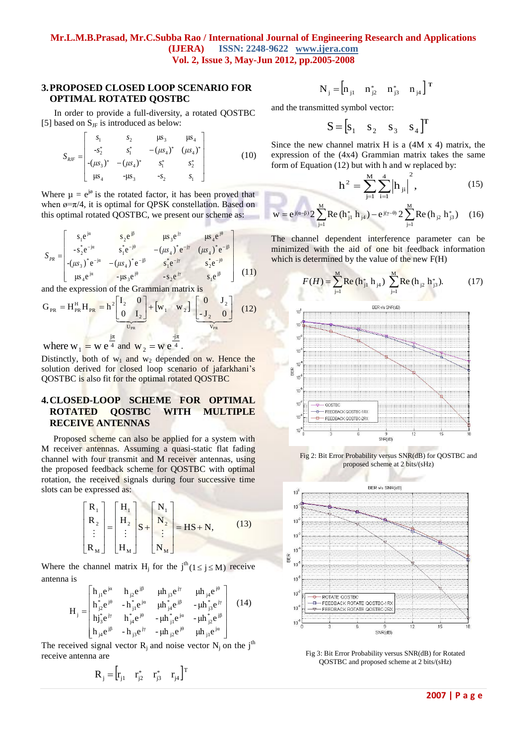#### **Mr.L.M.B.Prasad, Mr.C.Subba Rao / International Journal of Engineering Research and Applications (IJERA) ISSN: 2248-9622 www.ijera.com Vol. 2, Issue 3, May-Jun 2012, pp.2005-2008**

#### **3.PROPOSED CLOSED LOOP SCENARIO FOR OPTIMAL ROTATED QOSTBC**

In order to provide a full-diversity, a rotated QOSTBC [5] based on  $S_{IF}$  is introduced as below:

$$
S_{RIF} = \begin{bmatrix} s_1 & s_2 & \mu s_3 & \mu s_4 \\ -s_2^* & s_1^* & -(\mu s_4)^* & (\mu s_4)^* \\ -(\mu s_3)^* & -(\mu s_4)^* & s_1^* & s_2^* \\ \mu s_4 & -\mu s_3 & -s_2 & s_1 \end{bmatrix}
$$
 (10)

Where  $\mu = e^{j\phi}$  is the rotated factor, it has been proved that when  $\sigma = \pi/4$ , it is optimal for QPSK constellation. Based on this optimal rotated QOSTBC, we present our scheme as:

$$
S_{PR} = \begin{bmatrix} s_1 e^{j\alpha} & s_2 e^{j\beta} & \mu s_3 e^{j\gamma} & \mu s_4 e^{j\theta} \\ -s_2^* e^{-j\alpha} & s_1^* e^{-j\theta} & -(s_4 e^{-j\beta} - (s_4 e^{-j\beta} - s_2 e^{-j\beta}) \\ -s_3 e^{j\alpha} & s_1^* e^{-j\beta} & s_1^* e^{-j\gamma} & s_2^* e^{-j\theta} \\ \mu s_4 e^{j\alpha} & -\mu s_3 e^{j\theta} & -s_2 e^{j\gamma} & s_1 e^{j\beta} \end{bmatrix}
$$
(11)

and the expression of the Grammian matrix is

$$
G_{PR} = H_{PR}^H H_{PR} = h^2 \left[\begin{matrix} I_2 & 0 \ 0 & I_2 \end{matrix}\right] + \left[w_1 \quad w_2\right] \left[\begin{matrix} 0 & J_2 \ -J_2 & 0 \end{matrix}\right]
$$
(12)  
where  $w_1 = w_1 e^{\frac{j\pi}{4}}$  and  $w_2 = w_1 e^{\frac{j\pi}{4}}$ 

where  $w_1 = w e^{\frac{1}{4}}$  and  $w_2 = w e^{\frac{1}{4}}$ .

Distinctly, both of  $w_1$  and  $w_2$  depended on w. Hence the solution derived for closed loop scenario of jafarkhani's QOSTBC is also fit for the optimal rotated QOSTBC

## **4.CLOSED-LOOP SCHEME FOR OPTIMAL ROTATED QOSTBC WITH MULTIPLE RECEIVE ANTENNAS**

Proposed scheme can also be applied for a system with M receiver antennas. Assuming a quasi-static flat fading channel with four transmit and M receiver antennas, using the proposed feedback scheme for QOSTBC with optimal rotation, the received signals during four successive time slots can be expressed as:

$$
\begin{bmatrix} R_1 \\ R_2 \\ \vdots \\ R_M \end{bmatrix} = \begin{bmatrix} H_1 \\ H_2 \\ \vdots \\ H_M \end{bmatrix} S + \begin{bmatrix} N_1 \\ N_2 \\ \vdots \\ N_M \end{bmatrix} = HS + N, \qquad (13)
$$

Where the channel matrix H<sub>j</sub> for the  $j^{th}(1 \le j \le M)$  receive antenna is

$$
H_{j} = \begin{bmatrix} h_{j1}e^{j\alpha} & h_{j2}e^{j\beta} & \mu h_{j3}e^{j\gamma} & \mu h_{j4}e^{j\theta} \\ h_{j2}^{*}e^{j\theta} & -h_{j1}^{*}e^{j\alpha} & \mu h_{j4}^{*}e^{j\beta} & -\mu h_{j3}^{*}e^{j\gamma} \\ h_{j3}^{*}e^{j\gamma} & h_{j4}^{*}e^{j\theta} & -\mu h_{j1}^{*}e^{j\alpha} & -\mu h_{j2}^{*}e^{j\beta} \\ h_{j4}e^{j\beta} & -h_{j3}e^{j\gamma} & -\mu h_{j2}e^{j\theta} & \mu h_{j1}e^{j\alpha} \end{bmatrix}
$$
(14)

The received signal vector  $R_i$  and noise vector  $N_i$  on the j<sup>th</sup> receive antenna are

$$
\mathbf{R}_{\mathbf{j}} = \begin{bmatrix} \mathbf{r}_{\mathbf{j}1} & \mathbf{r}_{\mathbf{j}2}^* & \mathbf{r}_{\mathbf{j}3}^* & \mathbf{r}_{\mathbf{j}4} \end{bmatrix}^{\mathrm{T}}
$$

$$
\mathbf{N}_{j} = \begin{bmatrix} \mathbf{n}_{j1} & \mathbf{n}_{j2}^{*} & \mathbf{n}_{j3}^{*} & \mathbf{n}_{j4} \end{bmatrix}^{\mathrm{T}}
$$

and the transmitted symbol vector:

$$
\mathbf{S} = [\mathbf{s}_1 \quad \mathbf{s}_2 \quad \mathbf{s}_3 \quad \mathbf{s}_4]^{\mathrm{T}}
$$

Since the new channel matrix  $H$  is a  $(4M \times 4)$  matrix, the expression of the (4x4) Grammian matrix takes the same form of Equation (12) but with h and w replaced by:

$$
h^{2} = \sum_{j=1}^{M} \sum_{i=1}^{4} \left| h_{ji} \right|^{2}, \qquad (15)
$$

$$
w = e^{j(\alpha-\beta)} 2 \sum_{j=1}^{M} Re(h_{j1}^* h_{j4}) - e^{j(\gamma-\theta)} 2 \sum_{j=1}^{M} Re(h_{j2} h_{j3}^*)
$$
 (16)

The channel dependent interference parameter can be minimized with the aid of one bit feedback information which is determined by the value of the new F(H)

$$
F(H) = \sum_{j=1}^{M} \text{Re} \, (\mathbf{h}_{j1}^* \, \mathbf{h}_{j4}) \sum_{j=1}^{M} \text{Re} \, (\mathbf{h}_{j2} \, \mathbf{h}_{j3}^*). \tag{17}
$$



Fig 2: Bit Error Probability versus SNR(dB) for QOSTBC and proposed scheme at 2 bits/(sHz)



Fig 3: Bit Error Probability versus SNR(dB) for Rotated QOSTBC and proposed scheme at 2 bits/(sHz)